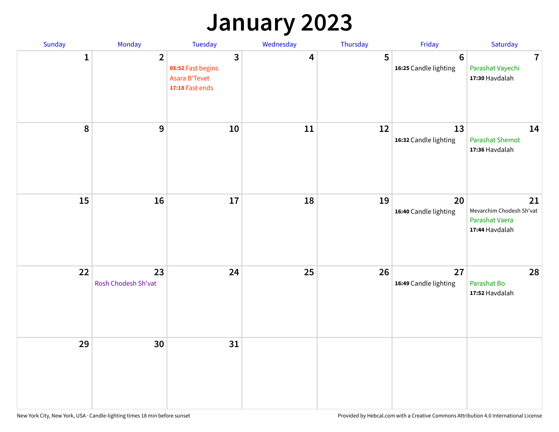## **January 2023**

| Sunday           | Monday                    | Tuesday                                                                          | Wednesday | Thursday | Friday                                   | Saturday                                                           |
|------------------|---------------------------|----------------------------------------------------------------------------------|-----------|----------|------------------------------------------|--------------------------------------------------------------------|
| 1                | $\overline{2}$            | $\overline{\mathbf{3}}$<br>05:52 Fast begins<br>Asara B'Tevet<br>17:18 Fast ends | 4         | 5        | $6\phantom{1}6$<br>16:25 Candle lighting | $\overline{7}$<br>Parashat Vayechi<br>17:30 Havdalah               |
| $\boldsymbol{8}$ | $\boldsymbol{9}$          | 10                                                                               | 11        | 12       | 13<br>16:32 Candle lighting              | 14<br><b>Parashat Shemot</b><br>17:36 Havdalah                     |
| 15               | 16                        | 17                                                                               | 18        | 19       | 20<br>16:40 Candle lighting              | 21<br>Mevarchim Chodesh Sh'vat<br>Parashat Vaera<br>17:44 Havdalah |
| 22               | 23<br>Rosh Chodesh Sh'vat | 24                                                                               | 25        | 26       | 27<br>16:49 Candle lighting              | 28<br>Parashat Bo<br>17:52 Havdalah                                |
| 29               | 30                        | 31                                                                               |           |          |                                          |                                                                    |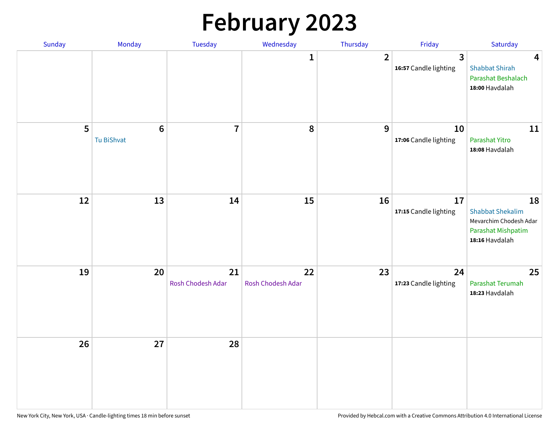# **February 2023**

| Sunday | Monday                        | Tuesday                 | Wednesday               | Thursday       | Friday                                  | Saturday                                                                                        |
|--------|-------------------------------|-------------------------|-------------------------|----------------|-----------------------------------------|-------------------------------------------------------------------------------------------------|
|        |                               |                         | 1                       | $\overline{2}$ | $\overline{3}$<br>16:57 Candle lighting | $\overline{\mathbf{4}}$<br><b>Shabbat Shirah</b><br>Parashat Beshalach<br>18:00 Havdalah        |
| 5      | $6\phantom{1}6$<br>Tu BiShvat | $\overline{7}$          | 8                       | 9              | 10<br>17:06 Candle lighting             | 11<br>Parashat Yitro<br>18:08 Havdalah                                                          |
| 12     | 13                            | 14                      | 15                      | 16             | 17<br>17:15 Candle lighting             | 18<br><b>Shabbat Shekalim</b><br>Mevarchim Chodesh Adar<br>Parashat Mishpatim<br>18:16 Havdalah |
| 19     | 20                            | 21<br>Rosh Chodesh Adar | 22<br>Rosh Chodesh Adar | 23             | 24<br>17:23 Candle lighting             | 25<br>Parashat Terumah<br>18:23 Havdalah                                                        |
| 26     | 27                            | 28                      |                         |                |                                         |                                                                                                 |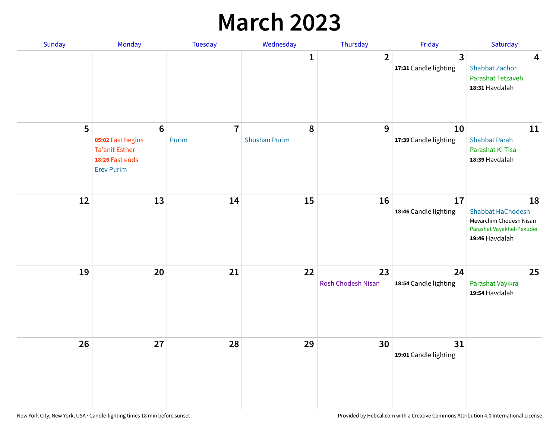## **March 2023**

| Sunday | Monday                                                                                                | Tuesday                 | Wednesday                 | Thursday                        | Friday                      | Saturday                                                                                                 |
|--------|-------------------------------------------------------------------------------------------------------|-------------------------|---------------------------|---------------------------------|-----------------------------|----------------------------------------------------------------------------------------------------------|
|        |                                                                                                       |                         | 1                         | $\overline{2}$                  | 3<br>17:31 Candle lighting  | 4<br><b>Shabbat Zachor</b><br>Parashat Tetzaveh<br>18:31 Havdalah                                        |
| 5      | $6\phantom{1}6$<br>05:02 Fast begins<br><b>Ta'anit Esther</b><br>18:26 Fast ends<br><b>Erev Purim</b> | $\overline{7}$<br>Purim | 8<br><b>Shushan Purim</b> | 9                               | 10<br>17:39 Candle lighting | 11<br><b>Shabbat Parah</b><br>Parashat Ki Tisa<br>18:39 Havdalah                                         |
| 12     | 13                                                                                                    | 14                      | 15                        | 16                              | 17<br>18:46 Candle lighting | 18<br><b>Shabbat HaChodesh</b><br>Mevarchim Chodesh Nisan<br>Parashat Vayakhel-Pekudei<br>19:46 Havdalah |
| 19     | 20                                                                                                    | 21                      | 22                        | 23<br><b>Rosh Chodesh Nisan</b> | 24<br>18:54 Candle lighting | 25<br>Parashat Vayikra<br>19:54 Havdalah                                                                 |
| 26     | 27                                                                                                    | 28                      | 29                        | 30                              | 31<br>19:01 Candle lighting |                                                                                                          |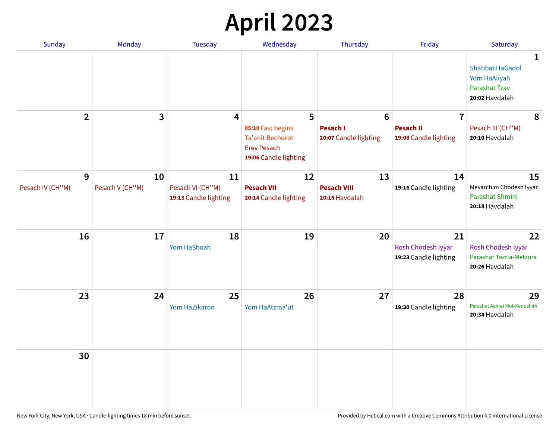# **April 2023**

| Sunday                | Monday                | <b>Tuesday</b>         | Wednesday                                                                                   | Thursday                                 | Friday                                            | Saturday                                                                                         |
|-----------------------|-----------------------|------------------------|---------------------------------------------------------------------------------------------|------------------------------------------|---------------------------------------------------|--------------------------------------------------------------------------------------------------|
|                       |                       |                        |                                                                                             |                                          |                                                   | $\mathbf{1}$<br><b>Shabbat HaGadol</b><br>Yom HaAliyah<br><b>Parashat Tzav</b><br>20:02 Havdalah |
| $\overline{2}$        | 3                     | 4                      | 5                                                                                           | 6                                        | $\overline{7}$                                    | 8                                                                                                |
|                       |                       |                        | 05:10 Fast begins<br><b>Ta'anit Bechorot</b><br><b>Erev Pesach</b><br>19:06 Candle lighting | <b>Pesach I</b><br>20:07 Candle lighting | <b>Pesach II</b><br>19:08 Candle lighting         | Pesach III (CH"M)<br>20:10 Havdalah                                                              |
| 9<br>Pesach IV (CH"M) | 10<br>Pesach V (CH"M) | 11<br>Pesach VI (CH"M) | 12<br><b>Pesach VII</b>                                                                     | 13<br><b>Pesach VIII</b>                 | 14<br>19:16 Candle lighting                       | 15<br>Mevarchim Chodesh Iyyar                                                                    |
|                       |                       | 19:13 Candle lighting  | 20:14 Candle lighting                                                                       | 20:15 Havdalah                           |                                                   | Parashat Shmini<br>20:18 Havdalah                                                                |
| 16                    | 17                    | 18<br>Yom HaShoah      | 19                                                                                          | 20                                       | 21<br>Rosh Chodesh Iyyar<br>19:23 Candle lighting | 22<br>Rosh Chodesh Iyyar<br>Parashat Tazria-Metzora<br>20:26 Havdalah                            |
| 23                    | 24                    | 25<br>Yom HaZikaron    | 26<br>Yom HaAtzma'ut                                                                        | 27                                       | 28<br>19:30 Candle lighting                       | 29<br>Parashat Achrei Mot-Kedoshim<br>20:34 Havdalah                                             |
| 30                    |                       |                        |                                                                                             |                                          |                                                   |                                                                                                  |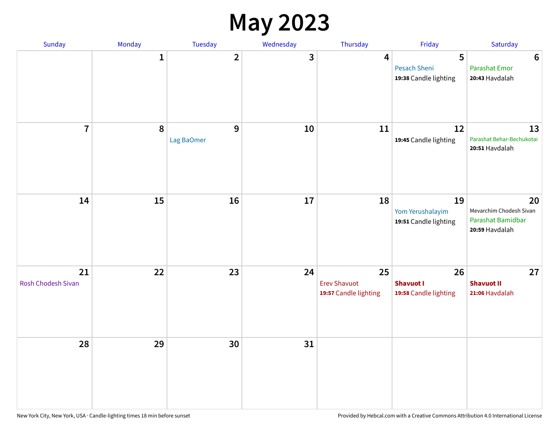#### **May 2023**

| Sunday                          | Monday       | Tuesday                 | Wednesday | Thursday                                           | Friday                                          | Saturday                                                             |
|---------------------------------|--------------|-------------------------|-----------|----------------------------------------------------|-------------------------------------------------|----------------------------------------------------------------------|
|                                 | $\mathbf{1}$ | $\overline{\mathbf{2}}$ | 3         | $\overline{\mathbf{4}}$                            | 5<br>Pesach Sheni<br>19:38 Candle lighting      | $\bf 6$<br><b>Parashat Emor</b><br>20:43 Havdalah                    |
| $\overline{7}$                  | 8            | $9$<br>Lag BaOmer       | 10        | 11                                                 | 12<br>19:45 Candle lighting                     | 13<br>Parashat Behar-Bechukotai<br>20:51 Havdalah                    |
| 14                              | 15           | 16                      | $17\,$    | 18                                                 | 19<br>Yom Yerushalayim<br>19:51 Candle lighting | 20<br>Mevarchim Chodesh Sivan<br>Parashat Bamidbar<br>20:59 Havdalah |
| 21<br><b>Rosh Chodesh Sivan</b> | 22           | 23                      | 24        | 25<br><b>Erev Shavuot</b><br>19:57 Candle lighting | 26<br><b>Shavuot I</b><br>19:58 Candle lighting | 27<br><b>Shavuot II</b><br>21:06 Havdalah                            |
| 28                              | 29           | 30                      | 31        |                                                    |                                                 |                                                                      |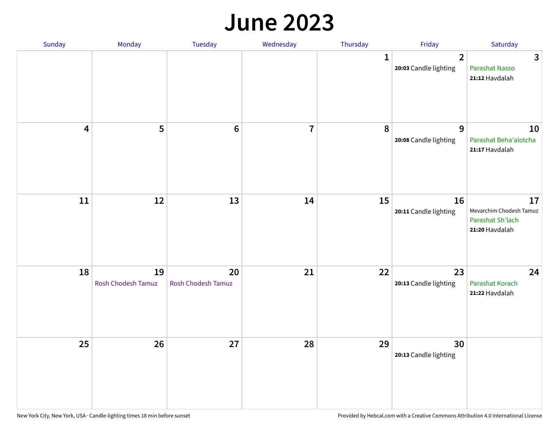#### **June 2023**

| Sunday                  | Monday                   | Tuesday                         | Wednesday      | Thursday     | Friday                                  | Saturday                                                            |
|-------------------------|--------------------------|---------------------------------|----------------|--------------|-----------------------------------------|---------------------------------------------------------------------|
|                         |                          |                                 |                | $\mathbf{1}$ | $\overline{2}$<br>20:03 Candle lighting | $\mathbf{3}$<br>Parashat Nasso<br>21:12 Havdalah                    |
| $\overline{\mathbf{4}}$ | 5                        | $\bf 6$                         | $\overline{7}$ | 8            | 9<br>20:08 Candle lighting              | 10<br>Parashat Beha'alotcha<br>21:17 Havdalah                       |
| $11\,$                  | 12                       | 13                              | 14             | 15           | 16<br>20:11 Candle lighting             | 17<br>Mevarchim Chodesh Tamuz<br>Parashat Sh'lach<br>21:20 Havdalah |
| 18                      | 19<br>Rosh Chodesh Tamuz | 20<br><b>Rosh Chodesh Tamuz</b> | 21             | 22           | 23<br>20:13 Candle lighting             | 24<br>Parashat Korach<br>21:22 Havdalah                             |
| 25                      | 26                       | 27                              | 28             | 29           | 30<br>20:13 Candle lighting             |                                                                     |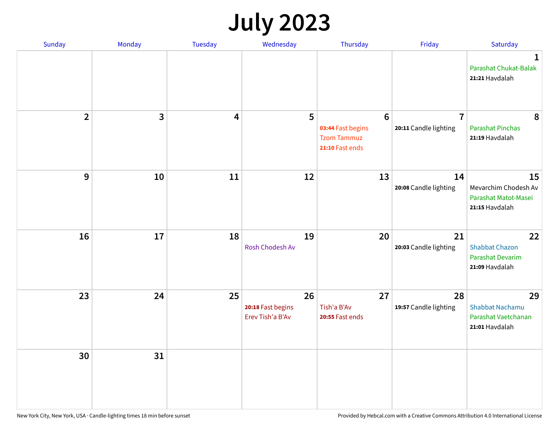# **July 2023**

| Sunday         | Monday       | <b>Tuesday</b> | Wednesday                                   | Thursday                                                                      | Friday                                  | Saturday                                                             |
|----------------|--------------|----------------|---------------------------------------------|-------------------------------------------------------------------------------|-----------------------------------------|----------------------------------------------------------------------|
|                |              |                |                                             |                                                                               |                                         | $\mathbf 1$<br>Parashat Chukat-Balak<br>21:21 Havdalah               |
| $\overline{2}$ | $\mathbf{3}$ | 4              | 5                                           | $6\phantom{1}6$<br>03:44 Fast begins<br><b>Tzom Tammuz</b><br>21:10 Fast ends | $\overline{7}$<br>20:11 Candle lighting | 8<br><b>Parashat Pinchas</b><br>21:19 Havdalah                       |
| 9              | 10           | 11             | 12                                          | 13                                                                            | 14<br>20:08 Candle lighting             | 15<br>Mevarchim Chodesh Av<br>Parashat Matot-Masei<br>21:15 Havdalah |
| 16             | 17           | 18             | 19<br>Rosh Chodesh Av                       | 20                                                                            | 21<br>20:03 Candle lighting             | 22<br><b>Shabbat Chazon</b><br>Parashat Devarim<br>21:09 Havdalah    |
| 23             | 24           | 25             | 26<br>20:18 Fast begins<br>Erev Tish'a B'Av | 27<br>Tish'a B'Av<br>20:55 Fast ends                                          | 28<br>19:57 Candle lighting             | 29<br>Shabbat Nachamu<br>Parashat Vaetchanan<br>21:01 Havdalah       |
| 30             | 31           |                |                                             |                                                                               |                                         |                                                                      |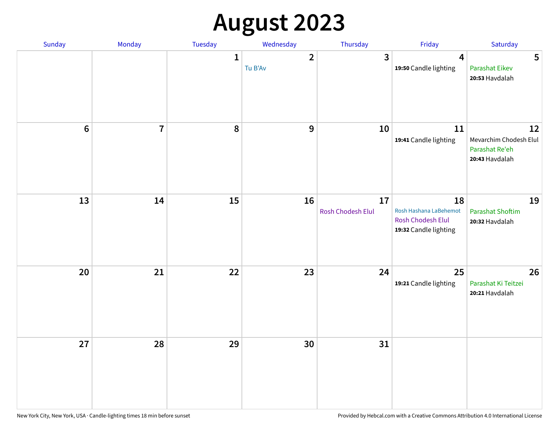# **August 2023**

| Sunday  | Monday         | Tuesday      | Wednesday                 | Thursday                | Friday                                                                     | Saturday                                                         |
|---------|----------------|--------------|---------------------------|-------------------------|----------------------------------------------------------------------------|------------------------------------------------------------------|
|         |                | $\mathbf{1}$ | $\overline{2}$<br>Tu B'Av | $\mathbf{3}$            | $\overline{4}$<br>19:50 Candle lighting                                    | 5<br><b>Parashat Eikev</b><br>20:53 Havdalah                     |
| $\bf 6$ | $\overline{7}$ | 8            | $\boldsymbol{9}$          | 10                      | 11<br>19:41 Candle lighting                                                | 12<br>Mevarchim Chodesh Elul<br>Parashat Re'eh<br>20:43 Havdalah |
| 13      | 14             | 15           | 16                        | 17<br>Rosh Chodesh Elul | 18<br>Rosh Hashana LaBehemot<br>Rosh Chodesh Elul<br>19:32 Candle lighting | 19<br><b>Parashat Shoftim</b><br>20:32 Havdalah                  |
| 20      | 21             | 22           | 23                        | 24                      | 25<br>19:21 Candle lighting                                                | 26<br>Parashat Ki Teitzei<br>20:21 Havdalah                      |
| 27      | 28             | 29           | 30                        | 31                      |                                                                            |                                                                  |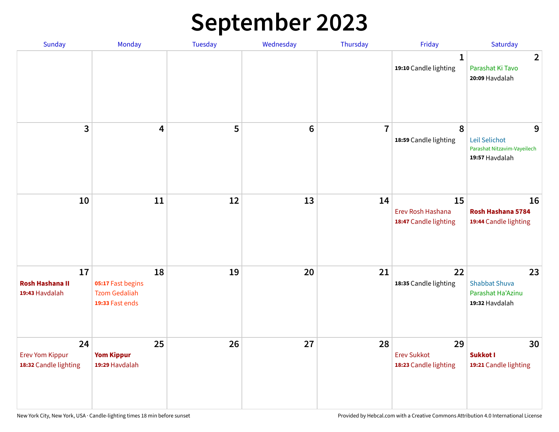# **September 2023**

| Sunday                                                | Monday                                                             | <b>Tuesday</b> | Wednesday       | Thursday       | Friday                                            | Saturday                                                            |
|-------------------------------------------------------|--------------------------------------------------------------------|----------------|-----------------|----------------|---------------------------------------------------|---------------------------------------------------------------------|
|                                                       |                                                                    |                |                 |                | 1<br>19:10 Candle lighting                        | $\overline{2}$<br>Parashat Ki Tavo<br>20:09 Havdalah                |
| 3                                                     | $\overline{\mathbf{4}}$                                            | 5              | $6\phantom{1}6$ | $\overline{7}$ | 8<br>18:59 Candle lighting                        | 9<br>Leil Selichot<br>Parashat Nitzavim-Vayeilech<br>19:57 Havdalah |
| 10                                                    | 11                                                                 | 12             | 13              | 14             | 15<br>Erev Rosh Hashana<br>18:47 Candle lighting  | 16<br>Rosh Hashana 5784<br>19:44 Candle lighting                    |
| 17<br><b>Rosh Hashana II</b><br>19:43 Havdalah        | 18<br>05:17 Fast begins<br><b>Tzom Gedaliah</b><br>19:33 Fast ends | 19             | 20              | 21             | 22<br>18:35 Candle lighting                       | 23<br><b>Shabbat Shuva</b><br>Parashat Ha'Azinu<br>19:32 Havdalah   |
| 24<br><b>Erev Yom Kippur</b><br>18:32 Candle lighting | 25<br><b>Yom Kippur</b><br>19:29 Havdalah                          | 26             | 27              | 28             | 29<br><b>Erev Sukkot</b><br>18:23 Candle lighting | 30<br>Sukkot I<br>19:21 Candle lighting                             |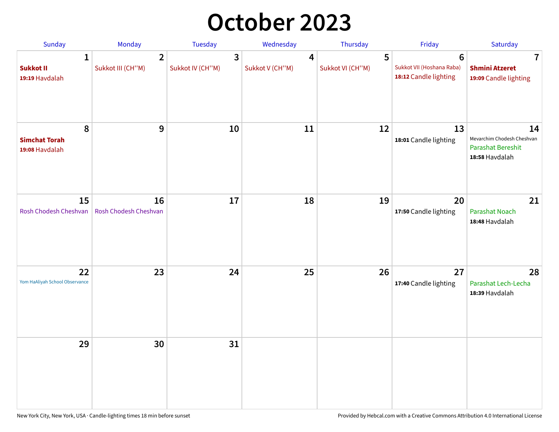## **October 2023**

| Sunday                                             | <b>Monday</b>                       | <b>Tuesday</b>        | Wednesday            | Thursday              | Friday                                                               | Saturday                                                                       |
|----------------------------------------------------|-------------------------------------|-----------------------|----------------------|-----------------------|----------------------------------------------------------------------|--------------------------------------------------------------------------------|
| $\mathbf{1}$<br><b>Sukkot II</b><br>19:19 Havdalah | $\overline{2}$<br>Sukkot III (CH"M) | 3<br>Sukkot IV (CH"M) | 4<br>Sukkot V (CH"M) | 5<br>Sukkot VI (CH"M) | $6\phantom{1}$<br>Sukkot VII (Hoshana Raba)<br>18:12 Candle lighting | 7<br><b>Shmini Atzeret</b><br>19:09 Candle lighting                            |
| 8<br><b>Simchat Torah</b><br>19:08 Havdalah        | 9                                   | 10                    | 11                   | 12                    | 13<br>18:01 Candle lighting                                          | 14<br>Mevarchim Chodesh Cheshvan<br><b>Parashat Bereshit</b><br>18:58 Havdalah |
| 15<br>Rosh Chodesh Cheshvan                        | 16<br>Rosh Chodesh Cheshvan         | 17                    | 18                   | 19                    | 20<br>17:50 Candle lighting                                          | 21<br>Parashat Noach<br>18:48 Havdalah                                         |
| 22<br>Yom HaAliyah School Observance               | 23                                  | 24                    | 25                   | 26                    | 27<br>17:40 Candle lighting                                          | 28<br>Parashat Lech-Lecha<br>18:39 Havdalah                                    |
| 29                                                 | 30                                  | 31                    |                      |                       |                                                                      |                                                                                |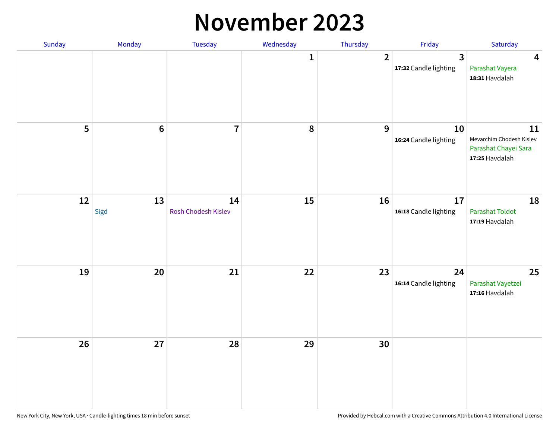#### **November 2023**

| Sunday | Monday     | Tuesday                   | Wednesday | Thursday         | Friday                      | Saturday                                                                 |
|--------|------------|---------------------------|-----------|------------------|-----------------------------|--------------------------------------------------------------------------|
|        |            |                           | 1         | $\overline{2}$   | 3<br>17:32 Candle lighting  | 4<br>Parashat Vayera<br>18:31 Havdalah                                   |
| 5      | $\bf 6$    | $\overline{7}$            | 8         | $\boldsymbol{9}$ | 10<br>16:24 Candle lighting | 11<br>Mevarchim Chodesh Kislev<br>Parashat Chayei Sara<br>17:25 Havdalah |
| 12     | 13<br>Sigd | 14<br>Rosh Chodesh Kislev | 15        | 16               | 17<br>16:18 Candle lighting | 18<br>Parashat Toldot<br>17:19 Havdalah                                  |
| 19     | 20         | 21                        | 22        | 23               | 24<br>16:14 Candle lighting | 25<br>Parashat Vayetzei<br>17:16 Havdalah                                |
| 26     | 27         | 28                        | 29        | 30               |                             |                                                                          |